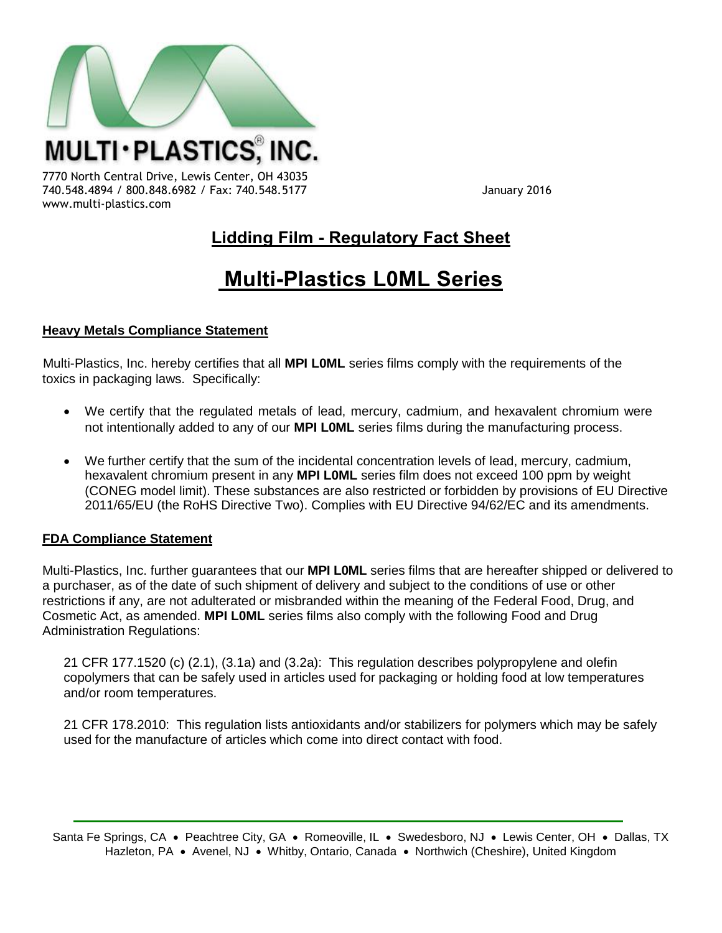

7770 North Central Drive, Lewis Center, OH 43035 740.548.4894 / 800.848.6982 / Fax: 740.548.5177 January 2016 www.multi-plastics.com

## **Lidding Film - Regulatory Fact Sheet**

# **Multi-Plastics L0ML Series**

### **Heavy Metals Compliance Statement**

Multi-Plastics, Inc. hereby certifies that all **MPI L0ML** series films comply with the requirements of the toxics in packaging laws. Specifically:

- We certify that the regulated metals of lead, mercury, cadmium, and hexavalent chromium were not intentionally added to any of our **MPI L0ML** series films during the manufacturing process.
- We further certify that the sum of the incidental concentration levels of lead, mercury, cadmium, hexavalent chromium present in any **MPI L0ML** series film does not exceed 100 ppm by weight (CONEG model limit). These substances are also restricted or forbidden by provisions of EU Directive 2011/65/EU (the RoHS Directive Two). Complies with EU Directive 94/62/EC and its amendments.

#### **FDA Compliance Statement**

Multi-Plastics, Inc. further guarantees that our **MPI L0ML** series films that are hereafter shipped or delivered to a purchaser, as of the date of such shipment of delivery and subject to the conditions of use or other restrictions if any, are not adulterated or misbranded within the meaning of the Federal Food, Drug, and Cosmetic Act, as amended. **MPI L0ML** series films also comply with the following Food and Drug Administration Regulations:

21 CFR 177.1520 (c) (2.1), (3.1a) and (3.2a): This regulation describes polypropylene and olefin copolymers that can be safely used in articles used for packaging or holding food at low temperatures and/or room temperatures.

21 CFR 178.2010: This regulation lists antioxidants and/or stabilizers for polymers which may be safely used for the manufacture of articles which come into direct contact with food.

Santa Fe Springs, CA · Peachtree City, GA · Romeoville, IL · Swedesboro, NJ · Lewis Center, OH · Dallas, TX Hazleton, PA • Avenel, NJ • Whitby, Ontario, Canada • Northwich (Cheshire), United Kingdom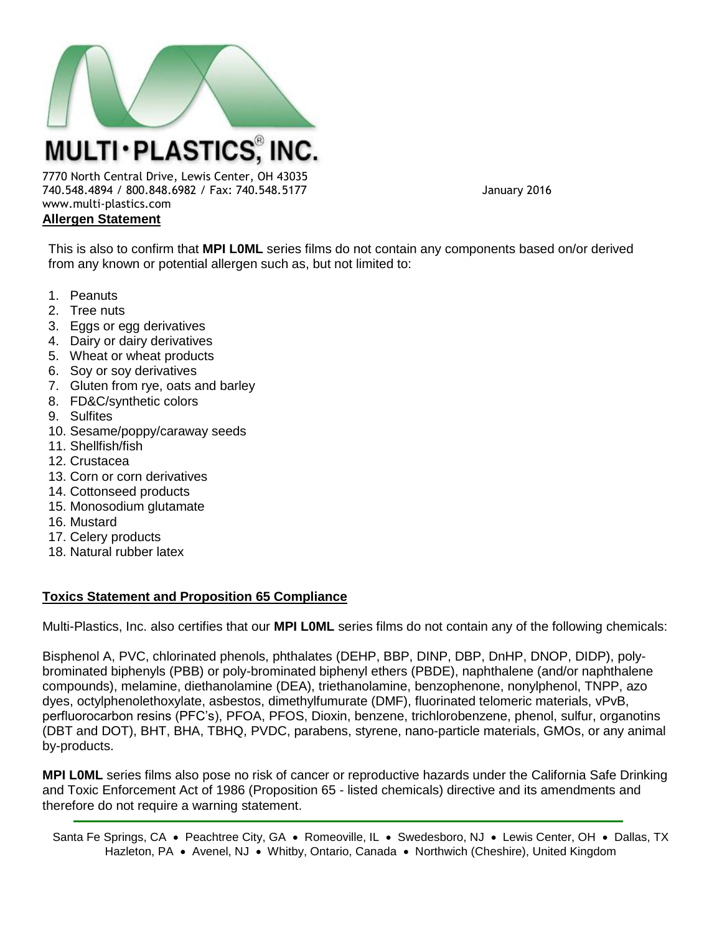

7770 North Central Drive, Lewis Center, OH 43035 740.548.4894 / 800.848.6982 / Fax: 740.548.5177 January 2016 www.multi-plastics.com **Allergen Statement**

This is also to confirm that **MPI L0ML** series films do not contain any components based on/or derived from any known or potential allergen such as, but not limited to:

- 1. Peanuts
- 2. Tree nuts
- 3. Eggs or egg derivatives
- 4. Dairy or dairy derivatives
- 5. Wheat or wheat products
- 6. Soy or soy derivatives
- 7. Gluten from rye, oats and barley
- 8. FD&C/synthetic colors
- 9. Sulfites
- 10. Sesame/poppy/caraway seeds
- 11. Shellfish/fish
- 12. Crustacea
- 13. Corn or corn derivatives
- 14. Cottonseed products
- 15. Monosodium glutamate
- 16. Mustard
- 17. Celery products
- 18. Natural rubber latex

#### **Toxics Statement and Proposition 65 Compliance**

Multi-Plastics, Inc. also certifies that our **MPI L0ML** series films do not contain any of the following chemicals:

Bisphenol A, PVC, chlorinated phenols, phthalates (DEHP, BBP, DINP, DBP, DnHP, DNOP, DIDP), polybrominated biphenyls (PBB) or poly-brominated biphenyl ethers (PBDE), naphthalene (and/or naphthalene compounds), melamine, diethanolamine (DEA), triethanolamine, benzophenone, nonylphenol, TNPP, azo dyes, octylphenolethoxylate, asbestos, dimethylfumurate (DMF), fluorinated telomeric materials, vPvB, perfluorocarbon resins (PFC's), PFOA, PFOS, Dioxin, benzene, trichlorobenzene, phenol, sulfur, organotins (DBT and DOT), BHT, BHA, TBHQ, PVDC, parabens, styrene, nano-particle materials, GMOs, or any animal by-products.

**MPI L0ML** series films also pose no risk of cancer or reproductive hazards under the California Safe Drinking and Toxic Enforcement Act of 1986 (Proposition 65 - listed chemicals) directive and its amendments and therefore do not require a warning statement.

Santa Fe Springs, CA · Peachtree City, GA · Romeoville, IL · Swedesboro, NJ · Lewis Center, OH · Dallas, TX Hazleton, PA • Avenel, NJ • Whitby, Ontario, Canada • Northwich (Cheshire), United Kingdom